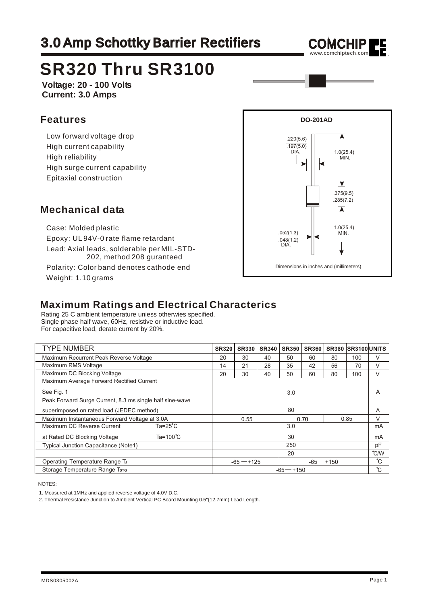## 3.0 Amp Schottky Barrier Rectifiers



# **SR320 Thru SR3100**

**Voltage: 20 - 100 Volts Current: 3.0 Amps**

#### **Features**

 Low forward voltage drop High current capability High reliability High surge current capability Epitaxial construction

#### **DO-201AD** .220(5.6)  $.197(5.0)$  DIA. 1.0(25.4) **MIN.** ▾ .375(9.5) .285(7.2) 1.0(25.4) .052(1.3) MIN.  $.048(1.2)$ DIA. Dimensions in inches and (millimeters)

#### **Mechanical data**

 Case: Molded plastic Epoxy: UL 94V-0 rate flame retardant Lead: Axial leads, solderable per MIL-STD-202, method 208 guranteed Polarity: Color band denotes cathode end

Weight: 1.10 grams

### **Maximum Ratings and Electrical Characterics**

Rating 25 C ambient temperature uniess otherwies specified. Single phase half wave, 60Hz, resistive or inductive load. For capacitive load, derate current by 20%.

| <b>TYPE NUMBER</b>                                       | <b>SR320</b>        | <b>SR330</b> | <b>SR340</b> | <b>SR350</b> | <b>SR360</b> |               | <b>SR380 SR3100 UNITS</b> |    |
|----------------------------------------------------------|---------------------|--------------|--------------|--------------|--------------|---------------|---------------------------|----|
| Maximum Recurrent Peak Reverse Voltage                   |                     | 30           | 40           | 50           | 60           | 80            | 100                       | V  |
| Maximum RMS Voltage                                      |                     | 21           | 28           | 35           | 42           | 56            | 70                        | V  |
| Maximum DC Blocking Voltage                              |                     | 30           | 40           | 50           | 60           | 80            | 100                       | V  |
| Maximum Average Forward Rectified Current                |                     |              |              |              |              |               |                           |    |
| See Fig. 1                                               |                     | 3.0          |              |              |              |               |                           |    |
| Peak Forward Surge Current, 8.3 ms single half sine-wave |                     |              |              |              |              |               |                           |    |
| superimposed on rated load (JEDEC method)                |                     | 80           |              |              |              |               |                           |    |
| Maximum Instantaneous Forward Voltage at 3.0A            |                     | 0.55         |              |              | 0.70         |               | 0.85                      | V  |
| Maximum DC Reverse Current                               | $Ta=25^{\circ}C$    | 3.0          |              |              |              |               | mA                        |    |
| at Rated DC Blocking Voltage                             | $Ta = 100^{\circ}C$ | 30           |              |              |              |               | mA                        |    |
| <b>Typical Junction Capacitance (Note1)</b>              |                     | 250          |              |              |              |               |                           |    |
|                                                          |                     | 20           |              |              |              | $\degree$ C/W |                           |    |
| Operating Temperature Range TJ                           |                     | $-65 - +125$ |              |              | $-65 - +150$ |               |                           | °С |
| Storage Temperature Range Tsre                           |                     | $-65 - +150$ |              |              |              |               |                           |    |

NOTES:

2. Thermal Resistance Junction to Ambient Vertical PC Board Mounting 0.5"(12.7mm) Lead Length.

<sup>1.</sup> Measured at 1MHz and applied reverse voltage of 4.0V D.C.